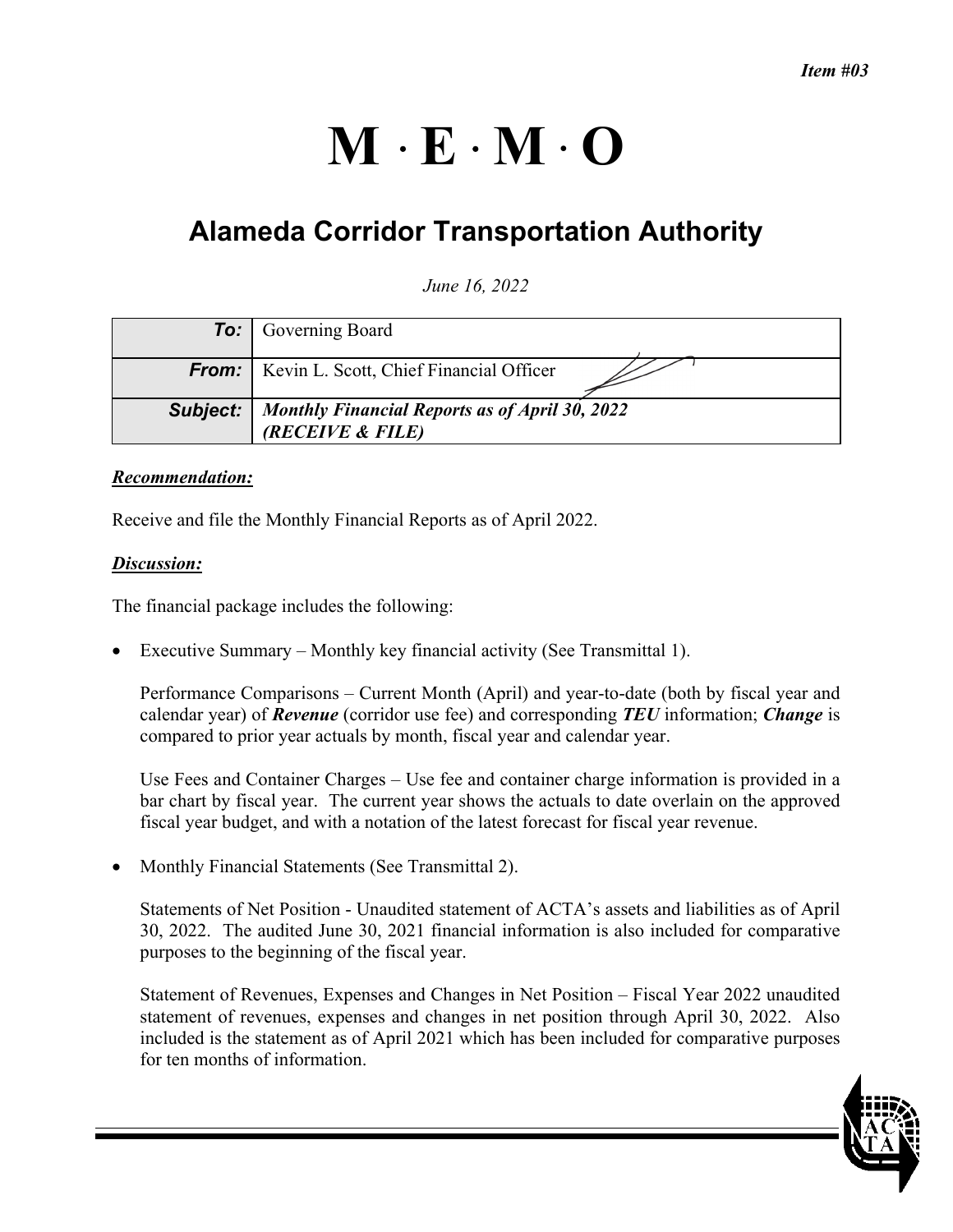# $M \cdot E \cdot M \cdot O$

## **Alameda Corridor Transportation Authority**

### *June 16, 2022*

| <b>To:</b> Governing Board                                                           |
|--------------------------------------------------------------------------------------|
| <b>From:</b>   Kevin L. Scott, Chief Financial Officer                               |
| <b>Subject:</b>   Monthly Financial Reports as of April 30, 2022<br>(RECEIVE & FILE) |

#### *Recommendation:*

Receive and file the Monthly Financial Reports as of April 2022.

#### *Discussion:*

The financial package includes the following:

Executive Summary – Monthly key financial activity (See Transmittal 1).

Performance Comparisons – Current Month (April) and year-to-date (both by fiscal year and calendar year) of *Revenue* (corridor use fee) and corresponding *TEU* information; *Change* is compared to prior year actuals by month, fiscal year and calendar year.

Use Fees and Container Charges – Use fee and container charge information is provided in a bar chart by fiscal year. The current year shows the actuals to date overlain on the approved fiscal year budget, and with a notation of the latest forecast for fiscal year revenue.

• Monthly Financial Statements (See Transmittal 2).

Statements of Net Position - Unaudited statement of ACTA's assets and liabilities as of April 30, 2022. The audited June 30, 2021 financial information is also included for comparative purposes to the beginning of the fiscal year.

Statement of Revenues, Expenses and Changes in Net Position – Fiscal Year 2022 unaudited statement of revenues, expenses and changes in net position through April 30, 2022. Also included is the statement as of April 2021 which has been included for comparative purposes for ten months of information.